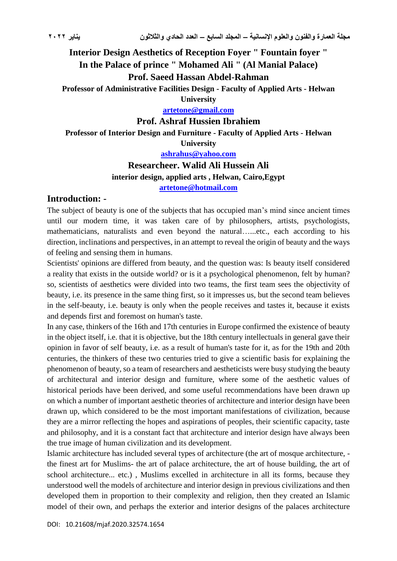# **Interior Design Aesthetics of Reception Foyer " Fountain foyer " In the Palace of prince " Mohamed Ali " (Al Manial Palace) Prof. Saeed Hassan Abdel-Rahman**

**Professor of Administrative Facilities Design - Faculty of Applied Arts - Helwan** 

**University**

**[artetone@gmail.com](mailto:artetone@gmail.com)**

**Prof. Ashraf Hussien Ibrahiem**

**Professor of Interior Design and Furniture - Faculty of Applied Arts - Helwan University**

**[ashrahus@yahoo.com](mailto:ashrahus@yahoo.com)**

# **Researcheer. Walid Ali Hussein Ali interior design, applied arts , Helwan, Cairo,Egypt**

**[artetone@hotmail.com](mailto:artetone@hotmail.com)**

### **Introduction: -**

The subject of beauty is one of the subjects that has occupied man's mind since ancient times until our modern time, it was taken care of by philosophers, artists, psychologists, mathematicians, naturalists and even beyond the natural…...etc., each according to his direction, inclinations and perspectives, in an attempt to reveal the origin of beauty and the ways of feeling and sensing them in humans.

Scientists' opinions are differed from beauty, and the question was: Is beauty itself considered a reality that exists in the outside world? or is it a psychological phenomenon, felt by human? so, scientists of aesthetics were divided into two teams, the first team sees the objectivity of beauty, i.e. its presence in the same thing first, so it impresses us, but the second team believes in the self-beauty, i.e. beauty is only when the people receives and tastes it, because it exists and depends first and foremost on human's taste.

In any case, thinkers of the 16th and 17th centuries in Europe confirmed the existence of beauty in the object itself, i.e. that it is objective, but the 18th century intellectuals in general gave their opinion in favor of self beauty, i.e. as a result of human's taste for it, as for the 19th and 20th centuries, the thinkers of these two centuries tried to give a scientific basis for explaining the phenomenon of beauty, so a team of researchers and aestheticists were busy studying the beauty of architectural and interior design and furniture, where some of the aesthetic values of historical periods have been derived, and some useful recommendations have been drawn up on which a number of important aesthetic theories of architecture and interior design have been drawn up, which considered to be the most important manifestations of civilization, because they are a mirror reflecting the hopes and aspirations of peoples, their scientific capacity, taste and philosophy, and it is a constant fact that architecture and interior design have always been the true image of human civilization and its development.

Islamic architecture has included several types of architecture (the art of mosque architecture, the finest art for Muslims- the art of palace architecture, the art of house building, the art of school architecture... etc.) , Muslims excelled in architecture in all its forms, because they understood well the models of architecture and interior design in previous civilizations and then developed them in proportion to their complexity and religion, then they created an Islamic model of their own, and perhaps the exterior and interior designs of the palaces architecture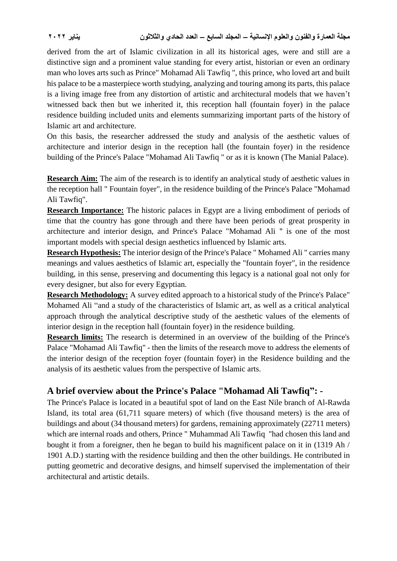derived from the art of Islamic civilization in all its historical ages, were and still are a distinctive sign and a prominent value standing for every artist, historian or even an ordinary man who loves arts such as Prince" Mohamad Ali Tawfiq ", this prince, who loved art and built his palace to be a masterpiece worth studying, analyzing and touring among its parts, this palace is a living image free from any distortion of artistic and architectural models that we haven't witnessed back then but we inherited it, this reception hall (fountain foyer) in the palace residence building included units and elements summarizing important parts of the history of Islamic art and architecture.

On this basis, the researcher addressed the study and analysis of the aesthetic values of architecture and interior design in the reception hall (the fountain foyer) in the residence building of the Prince's Palace "Mohamad Ali Tawfiq " or as it is known (The Manial Palace).

**Research Aim:** The aim of the research is to identify an analytical study of aesthetic values in the reception hall " Fountain foyer", in the residence building of the Prince's Palace "Mohamad Ali Tawfiq".

**Research Importance:** The historic palaces in Egypt are a living embodiment of periods of time that the country has gone through and there have been periods of great prosperity in architecture and interior design, and Prince's Palace "Mohamad Ali " is one of the most important models with special design aesthetics influenced by Islamic arts.

**Research Hypothesis:** The interior design of the Prince's Palace " Mohamed Ali " carries many meanings and values aesthetics of Islamic art, especially the "fountain foyer", in the residence building, in this sense, preserving and documenting this legacy is a national goal not only for every designer, but also for every Egyptian.

**Research Methodology:** A survey edited approach to a historical study of the Prince's Palace" Mohamed Ali "and a study of the characteristics of Islamic art, as well as a critical analytical approach through the analytical descriptive study of the aesthetic values of the elements of interior design in the reception hall (fountain foyer) in the residence building.

**Research limits:** The research is determined in an overview of the building of the Prince's Palace "Mohamad Ali Tawfiq" - then the limits of the research move to address the elements of the interior design of the reception foyer (fountain foyer) in the Residence building and the analysis of its aesthetic values from the perspective of Islamic arts.

# **A brief overview about the Prince's Palace "Mohamad Ali Tawfiq": -**

The Prince's Palace is located in a beautiful spot of land on the East Nile branch of Al-Rawda Island, its total area (61,711 square meters) of which (five thousand meters) is the area of buildings and about (34 thousand meters) for gardens, remaining approximately (22711 meters) which are internal roads and others, Prince " Muhammad Ali Tawfiq "had chosen this land and bought it from a foreigner, then he began to build his magnificent palace on it in (1319 Ah / 1901 A.D.) starting with the residence building and then the other buildings. He contributed in putting geometric and decorative designs, and himself supervised the implementation of their architectural and artistic details.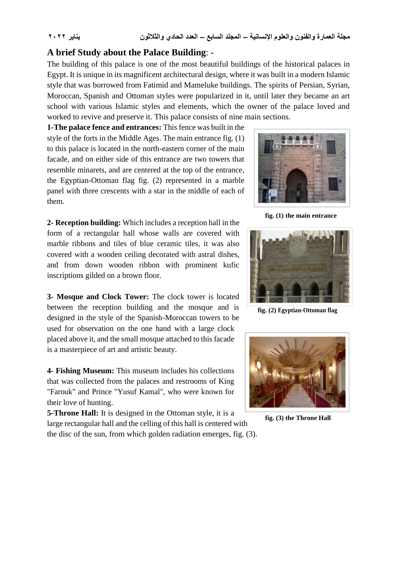### **A brief Study about the Palace Building**: -

The building of this palace is one of the most beautiful buildings of the historical palaces in Egypt. It is unique in its magnificent architectural design, where it was built in a modern Islamic style that was borrowed from Fatimid and Mameluke buildings. The spirits of Persian, Syrian, Moroccan, Spanish and Ottoman styles were popularized in it, until later they became an art school with various Islamic styles and elements, which the owner of the palace loved and worked to revive and preserve it. This palace consists of nine main sections.

**1-The palace fence and entrances:** This fence was built in the style of the forts in the Middle Ages. The main entrance fig. (1) to this palace is located in the north-eastern corner of the main facade, and on either side of this entrance are two towers that resemble minarets, and are centered at the top of the entrance, the Egyptian-Ottoman flag fig. (2) represented in a marble panel with three crescents with a star in the middle of each of them.

**2- Reception building:** Which includes a reception hall in the form of a rectangular hall whose walls are covered with marble ribbons and tiles of blue ceramic tiles, it was also covered with a wooden ceiling decorated with astral dishes, and from down wooden ribbon with prominent kufic inscriptions gilded on a brown floor.

**3- Mosque and Clock Tower:** The clock tower is located between the reception building and the mosque and is designed in the style of the Spanish-Moroccan towers to be used for observation on the one hand with a large clock placed above it, and the small mosque attached to this facade is a masterpiece of art and artistic beauty.

**4- Fishing Museum:** This museum includes his collections that was collected from the palaces and restrooms of King "Farouk" and Prince "Yusuf Kamal", who were known for their love of hunting.

**5-Throne Hall:** It is designed in the Ottoman style, it is a large rectangular hall and the celling of this hall is centered with the disc of the sun, from which golden radiation emerges, fig. (3).



**fig. (1) the main entrance**



**fig. (2) Egyptian-Ottoman flag**



**fig. (3) the Throne Hall**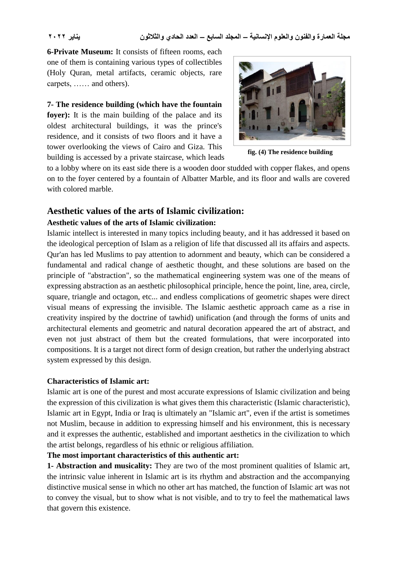**6-Private Museum:** It consists of fifteen rooms, each one of them is containing various types of collectibles (Holy Quran, metal artifacts, ceramic objects, rare carpets, …… and others).

#### **7- The residence building (which have the fountain**

**foyer):** It is the main building of the palace and its oldest architectural buildings, it was the prince's residence, and it consists of two floors and it have a tower overlooking the views of Cairo and Giza. This building is accessed by a private staircase, which leads



**fig. (4) The residence building**

to a lobby where on its east side there is a wooden door studded with copper flakes, and opens on to the foyer centered by a fountain of Albatter Marble, and its floor and walls are covered with colored marble.

# **Aesthetic values of the arts of Islamic civilization:**

### **Aesthetic values of the arts of Islamic civilization:**

Islamic intellect is interested in many topics including beauty, and it has addressed it based on the ideological perception of Islam as a religion of life that discussed all its affairs and aspects. Qur'an has led Muslims to pay attention to adornment and beauty, which can be considered a fundamental and radical change of aesthetic thought, and these solutions are based on the principle of "abstraction", so the mathematical engineering system was one of the means of expressing abstraction as an aesthetic philosophical principle, hence the point, line, area, circle, square, triangle and octagon, etc... and endless complications of geometric shapes were direct visual means of expressing the invisible. The Islamic aesthetic approach came as a rise in creativity inspired by the doctrine of tawhid) unification (and through the forms of units and architectural elements and geometric and natural decoration appeared the art of abstract, and even not just abstract of them but the created formulations, that were incorporated into compositions. It is a target not direct form of design creation, but rather the underlying abstract system expressed by this design.

### **Characteristics of Islamic art:**

Islamic art is one of the purest and most accurate expressions of Islamic civilization and being the expression of this civilization is what gives them this characteristic (Islamic characteristic), Islamic art in Egypt, India or Iraq is ultimately an "Islamic art", even if the artist is sometimes not Muslim, because in addition to expressing himself and his environment, this is necessary and it expresses the authentic, established and important aesthetics in the civilization to which the artist belongs, regardless of his ethnic or religious affiliation.

### **The most important characteristics of this authentic art:**

**1- Abstraction and musicality:** They are two of the most prominent qualities of Islamic art, the intrinsic value inherent in Islamic art is its rhythm and abstraction and the accompanying distinctive musical sense in which no other art has matched, the function of Islamic art was not to convey the visual, but to show what is not visible, and to try to feel the mathematical laws that govern this existence.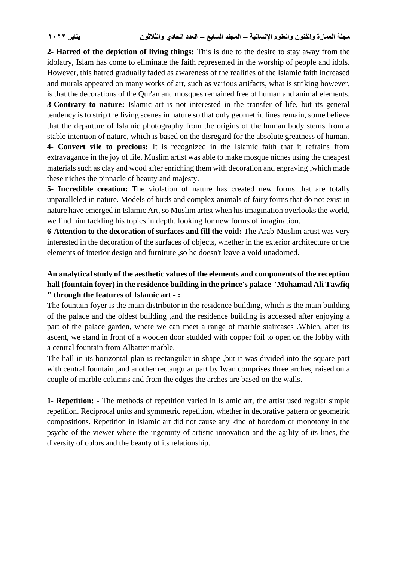**2- Hatred of the depiction of living things:** This is due to the desire to stay away from the idolatry, Islam has come to eliminate the faith represented in the worship of people and idols. However, this hatred gradually faded as awareness of the realities of the Islamic faith increased and murals appeared on many works of art, such as various artifacts, what is striking however, is that the decorations of the Qur'an and mosques remained free of human and animal elements.

**3-Contrary to nature:** Islamic art is not interested in the transfer of life, but its general tendency is to strip the living scenes in nature so that only geometric lines remain, some believe that the departure of Islamic photography from the origins of the human body stems from a stable intention of nature, which is based on the disregard for the absolute greatness of human.

**4- Convert vile to precious:** It is recognized in the Islamic faith that it refrains from extravagance in the joy of life. Muslim artist was able to make mosque niches using the cheapest materials such as clay and wood after enriching them with decoration and engraving ,which made these niches the pinnacle of beauty and majesty.

**5- Incredible creation:** The violation of nature has created new forms that are totally unparalleled in nature. Models of birds and complex animals of fairy forms that do not exist in nature have emerged in Islamic Art, so Muslim artist when his imagination overlooks the world, we find him tackling his topics in depth, looking for new forms of imagination.

**6-Attention to the decoration of surfaces and fill the void:** The Arab-Muslim artist was very interested in the decoration of the surfaces of objects, whether in the exterior architecture or the elements of interior design and furniture ,so he doesn't leave a void unadorned.

## **An analytical study of the aesthetic values of the elements and components of the reception hall (fountain foyer) in the residence building in the prince's palace "Mohamad Ali Tawfiq " through the features of Islamic art - :**

The fountain foyer is the main distributor in the residence building, which is the main building of the palace and the oldest building ,and the residence building is accessed after enjoying a part of the palace garden, where we can meet a range of marble staircases .Which, after its ascent, we stand in front of a wooden door studded with copper foil to open on the lobby with a central fountain from Albatter marble.

The hall in its horizontal plan is rectangular in shape ,but it was divided into the square part with central fountain ,and another rectangular part by Iwan comprises three arches, raised on a couple of marble columns and from the edges the arches are based on the walls.

**1- Repetition: -** The methods of repetition varied in Islamic art, the artist used regular simple repetition. Reciprocal units and symmetric repetition, whether in decorative pattern or geometric compositions. Repetition in Islamic art did not cause any kind of boredom or monotony in the psyche of the viewer where the ingenuity of artistic innovation and the agility of its lines, the diversity of colors and the beauty of its relationship.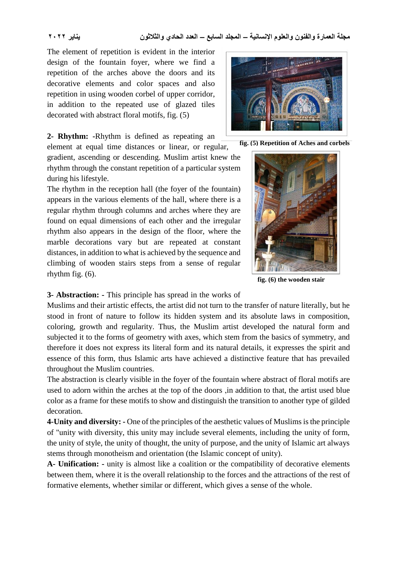The element of repetition is evident in the interior design of the fountain foyer, where we find a repetition of the arches above the doors and its decorative elements and color spaces and also repetition in using wooden corbel of upper corridor, in addition to the repeated use of glazed tiles decorated with abstract floral motifs, fig. (5)

**2- Rhythm: -**Rhythm is defined as repeating an

element at equal time distances or linear, or regular, gradient, ascending or descending. Muslim artist knew the rhythm through the constant repetition of a particular system during his lifestyle.

The rhythm in the reception hall (the foyer of the fountain) appears in the various elements of the hall, where there is a regular rhythm through columns and arches where they are found on equal dimensions of each other and the irregular rhythm also appears in the design of the floor, where the marble decorations vary but are repeated at constant distances, in addition to what is achieved by the sequence and climbing of wooden stairs steps from a sense of regular rhythm fig. (6).



**fig. (5) Repetition of Aches and corbels**



**fig. (6) the wooden stair**

### **3- Abstraction: -** This principle has spread in the works of

Muslims and their artistic effects, the artist did not turn to the transfer of nature literally, but he stood in front of nature to follow its hidden system and its absolute laws in composition, coloring, growth and regularity. Thus, the Muslim artist developed the natural form and subjected it to the forms of geometry with axes, which stem from the basics of symmetry, and therefore it does not express its literal form and its natural details, it expresses the spirit and essence of this form, thus Islamic arts have achieved a distinctive feature that has prevailed throughout the Muslim countries.

The abstraction is clearly visible in the foyer of the fountain where abstract of floral motifs are used to adorn within the arches at the top of the doors ,in addition to that, the artist used blue color as a frame for these motifs to show and distinguish the transition to another type of gilded decoration.

**4-Unity and diversity: -** One of the principles of the aesthetic values of Muslims is the principle of "unity with diversity, this unity may include several elements, including the unity of form, the unity of style, the unity of thought, the unity of purpose, and the unity of Islamic art always stems through monotheism and orientation (the Islamic concept of unity).

**A- Unification: -** unity is almost like a coalition or the compatibility of decorative elements between them, where it is the overall relationship to the forces and the attractions of the rest of formative elements, whether similar or different, which gives a sense of the whole.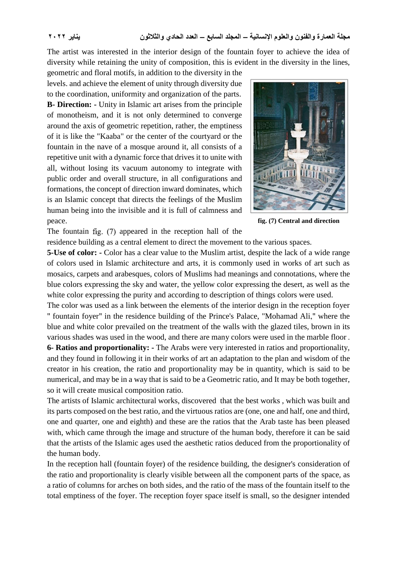The artist was interested in the interior design of the fountain foyer to achieve the idea of diversity while retaining the unity of composition, this is evident in the diversity in the lines,

geometric and floral motifs, in addition to the diversity in the levels. and achieve the element of unity through diversity due to the coordination, uniformity and organization of the parts. **B- Direction: -** Unity in Islamic art arises from the principle of monotheism, and it is not only determined to converge around the axis of geometric repetition, rather, the emptiness of it is like the "Kaaba" or the center of the courtyard or the fountain in the nave of a mosque around it, all consists of a repetitive unit with a dynamic force that drives it to unite with all, without losing its vacuum autonomy to integrate with public order and overall structure, in all configurations and formations, the concept of direction inward dominates, which is an Islamic concept that directs the feelings of the Muslim human being into the invisible and it is full of calmness and peace.



**fig. (7) Central and direction**

The fountain fig.  $(7)$  appeared in the reception hall of the

residence building as a central element to direct the movement to the various spaces.

**5-Use of color: -** Color has a clear value to the Muslim artist, despite the lack of a wide range of colors used in Islamic architecture and arts, it is commonly used in works of art such as mosaics, carpets and arabesques, colors of Muslims had meanings and connotations, where the blue colors expressing the sky and water, the yellow color expressing the desert, as well as the white color expressing the purity and according to description of things colors were used.

The color was used as a link between the elements of the interior design in the reception foyer " fountain foyer" in the residence building of the Prince's Palace, "Mohamad Ali," where the blue and white color prevailed on the treatment of the walls with the glazed tiles, brown in its various shades was used in the wood, and there are many colors were used in the marble floor . **6- Ratios and proportionality: -** The Arabs were very interested in ratios and proportionality, and they found in following it in their works of art an adaptation to the plan and wisdom of the

creator in his creation, the ratio and proportionality may be in quantity, which is said to be numerical, and may be in a way that is said to be a Geometric ratio, and It may be both together, so it will create musical composition ratio.

The artists of Islamic architectural works, discovered that the best works , which was built and its parts composed on the best ratio, and the virtuous ratios are (one, one and half, one and third, one and quarter, one and eighth) and these are the ratios that the Arab taste has been pleased with, which came through the image and structure of the human body, therefore it can be said that the artists of the Islamic ages used the aesthetic ratios deduced from the proportionality of the human body.

In the reception hall (fountain foyer) of the residence building, the designer's consideration of the ratio and proportionality is clearly visible between all the component parts of the space, as a ratio of columns for arches on both sides, and the ratio of the mass of the fountain itself to the total emptiness of the foyer. The reception foyer space itself is small, so the designer intended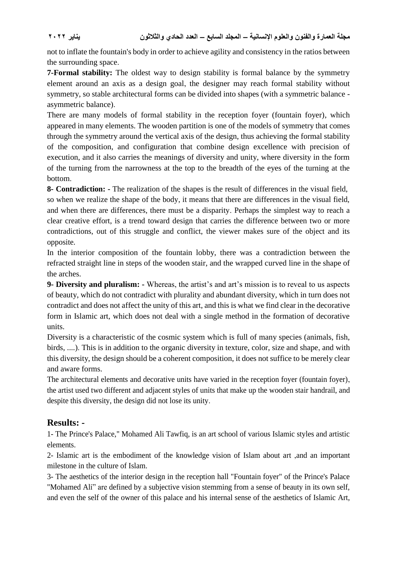not to inflate the fountain's body in order to achieve agility and consistency in the ratios between the surrounding space.

**7-Formal stability:** The oldest way to design stability is formal balance by the symmetry element around an axis as a design goal, the designer may reach formal stability without symmetry, so stable architectural forms can be divided into shapes (with a symmetric balance asymmetric balance).

There are many models of formal stability in the reception foyer (fountain foyer), which appeared in many elements. The wooden partition is one of the models of symmetry that comes through the symmetry around the vertical axis of the design, thus achieving the formal stability of the composition, and configuration that combine design excellence with precision of execution, and it also carries the meanings of diversity and unity, where diversity in the form of the turning from the narrowness at the top to the breadth of the eyes of the turning at the bottom.

**8- Contradiction: -** The realization of the shapes is the result of differences in the visual field, so when we realize the shape of the body, it means that there are differences in the visual field, and when there are differences, there must be a disparity. Perhaps the simplest way to reach a clear creative effort, is a trend toward design that carries the difference between two or more contradictions, out of this struggle and conflict, the viewer makes sure of the object and its opposite.

In the interior composition of the fountain lobby, there was a contradiction between the refracted straight line in steps of the wooden stair, and the wrapped curved line in the shape of the arches.

**9- Diversity and pluralism: -** Whereas, the artist's and art's mission is to reveal to us aspects of beauty, which do not contradict with plurality and abundant diversity, which in turn does not contradict and does not affect the unity of this art, and this is what we find clear in the decorative form in Islamic art, which does not deal with a single method in the formation of decorative units.

Diversity is a characteristic of the cosmic system which is full of many species (animals, fish, birds, ....). This is in addition to the organic diversity in texture, color, size and shape, and with this diversity, the design should be a coherent composition, it does not suffice to be merely clear and aware forms.

The architectural elements and decorative units have varied in the reception foyer (fountain foyer), the artist used two different and adjacent styles of units that make up the wooden stair handrail, and despite this diversity, the design did not lose its unity.

# **Results: -**

1- The Prince's Palace," Mohamed Ali Tawfiq, is an art school of various Islamic styles and artistic elements.

2- Islamic art is the embodiment of the knowledge vision of Islam about art ,and an important milestone in the culture of Islam.

3- The aesthetics of the interior design in the reception hall "Fountain foyer" of the Prince's Palace "Mohamed Ali" are defined by a subjective vision stemming from a sense of beauty in its own self, and even the self of the owner of this palace and his internal sense of the aesthetics of Islamic Art,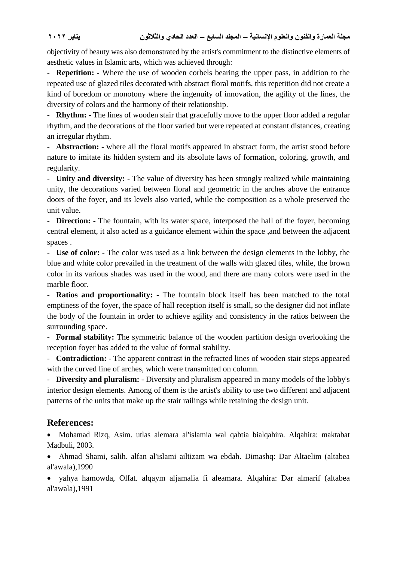objectivity of beauty was also demonstrated by the artist's commitment to the distinctive elements of aesthetic values in Islamic arts, which was achieved through:

- **Repetition: -** Where the use of wooden corbels bearing the upper pass, in addition to the repeated use of glazed tiles decorated with abstract floral motifs, this repetition did not create a kind of boredom or monotony where the ingenuity of innovation, the agility of the lines, the diversity of colors and the harmony of their relationship.

- **Rhythm: -** The lines of wooden stair that gracefully move to the upper floor added a regular rhythm, and the decorations of the floor varied but were repeated at constant distances, creating an irregular rhythm.

- **Abstraction: -** where all the floral motifs appeared in abstract form, the artist stood before nature to imitate its hidden system and its absolute laws of formation, coloring, growth, and regularity.

- **Unity and diversity: -** The value of diversity has been strongly realized while maintaining unity, the decorations varied between floral and geometric in the arches above the entrance doors of the foyer, and its levels also varied, while the composition as a whole preserved the unit value.

- **Direction: -** The fountain, with its water space, interposed the hall of the foyer, becoming central element, it also acted as a guidance element within the space ,and between the adjacent spaces .

- **Use of color: -** The color was used as a link between the design elements in the lobby, the blue and white color prevailed in the treatment of the walls with glazed tiles, while, the brown color in its various shades was used in the wood, and there are many colors were used in the marble floor.

- **Ratios and proportionality: -** The fountain block itself has been matched to the total emptiness of the foyer, the space of hall reception itself is small, so the designer did not inflate the body of the fountain in order to achieve agility and consistency in the ratios between the surrounding space.

- **Formal stability:** The symmetric balance of the wooden partition design overlooking the reception foyer has added to the value of formal stability.

- **Contradiction: -** The apparent contrast in the refracted lines of wooden stair steps appeared with the curved line of arches, which were transmitted on column.

- **Diversity and pluralism: -** Diversity and pluralism appeared in many models of the lobby's interior design elements. Among of them is the artist's ability to use two different and adjacent patterns of the units that make up the stair railings while retaining the design unit.

# **References:**

 Mohamad Rizq, Asim. utlas alemara al'islamia wal qabtia bialqahira. Alqahira: maktabat Madbuli, 2003.

 Ahmad Shami, salih. alfan al'islami ailtizam wa ebdah. Dimashq: Dar Altaelim (altabea al'awala),1990

 yahya hamowda, Olfat. alqaym aljamalia fi aleamara. Alqahira: Dar almarif (altabea al'awala),1991